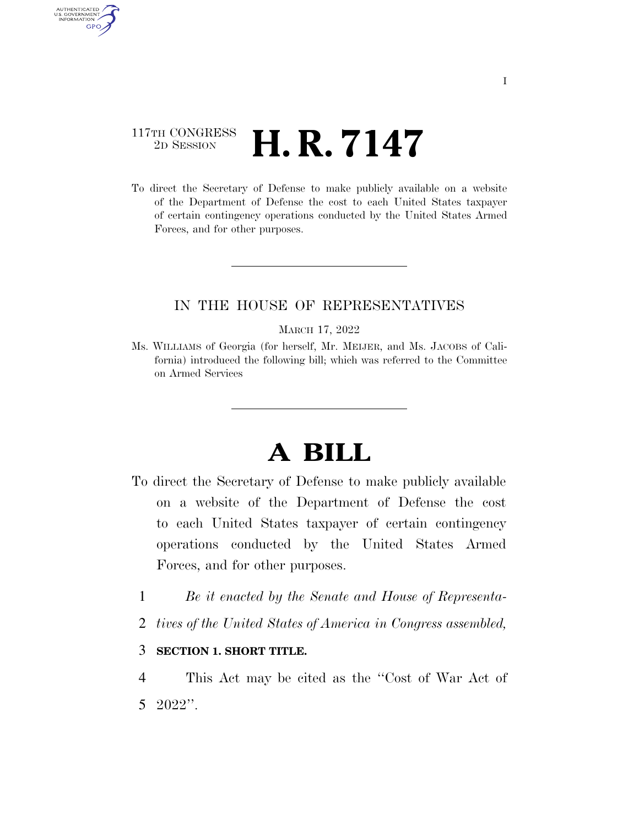# 117TH CONGRESS  $\frac{2\text{D} \text{ SESSION}}{2\text{D} \text{ SESSION}}$  **H. R. 7147**

AUTHENTICATED<br>U.S. GOVERNMENT<br>INFORMATION

**GPO** 

To direct the Secretary of Defense to make publicly available on a website of the Department of Defense the cost to each United States taxpayer of certain contingency operations conducted by the United States Armed Forces, and for other purposes.

## IN THE HOUSE OF REPRESENTATIVES

#### MARCH 17, 2022

Ms. WILLIAMS of Georgia (for herself, Mr. MEIJER, and Ms. JACOBS of California) introduced the following bill; which was referred to the Committee on Armed Services

# **A BILL**

- To direct the Secretary of Defense to make publicly available on a website of the Department of Defense the cost to each United States taxpayer of certain contingency operations conducted by the United States Armed Forces, and for other purposes.
	- 1 *Be it enacted by the Senate and House of Representa-*
	- 2 *tives of the United States of America in Congress assembled,*

### 3 **SECTION 1. SHORT TITLE.**

4 This Act may be cited as the ''Cost of War Act of 5 2022''.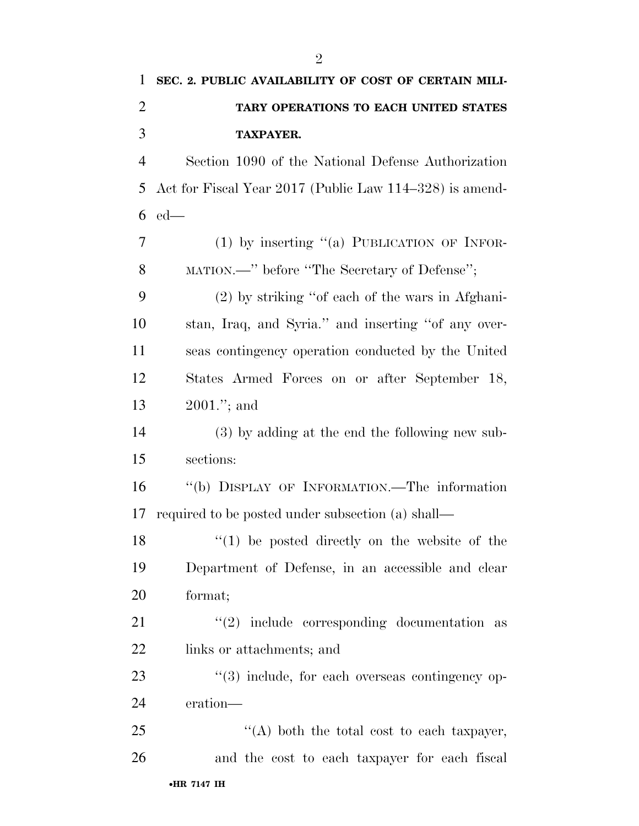| 1              | SEC. 2. PUBLIC AVAILABILITY OF COST OF CERTAIN MILI-    |
|----------------|---------------------------------------------------------|
| $\overline{2}$ | TARY OPERATIONS TO EACH UNITED STATES                   |
| 3              | <b>TAXPAYER.</b>                                        |
| $\overline{4}$ | Section 1090 of the National Defense Authorization      |
| 5              | Act for Fiscal Year 2017 (Public Law 114–328) is amend- |
| 6              | $ed$ —                                                  |
| 7              | $(1)$ by inserting "(a) PUBLICATION OF INFOR-           |
| 8              | MATION.—" before "The Secretary of Defense";            |
| 9              | (2) by striking "of each of the wars in Afghani-        |
| 10             | stan, Iraq, and Syria." and inserting "of any over-     |
| 11             | seas contingency operation conducted by the United      |
| 12             | States Armed Forces on or after September 18,           |
| 13             | $2001$ ."; and                                          |
| 14             | (3) by adding at the end the following new sub-         |
| 15             | sections:                                               |
| 16             | "(b) DISPLAY OF INFORMATION.—The information            |
| 17             | required to be posted under subsection (a) shall—       |
| 18             | $(1)$ be posted directly on the website of the          |
| 19             | Department of Defense, in an accessible and clear       |
| 20             | format;                                                 |
| 21             | $(2)$ include corresponding documentation as            |
| 22             | links or attachments; and                               |
| 23             | $\lq(3)$ include, for each overseas contingency op-     |
| 24             | eration—                                                |
| 25             | "(A) both the total cost to each taxpayer,              |
| 26             | and the cost to each taxpayer for each fiscal           |